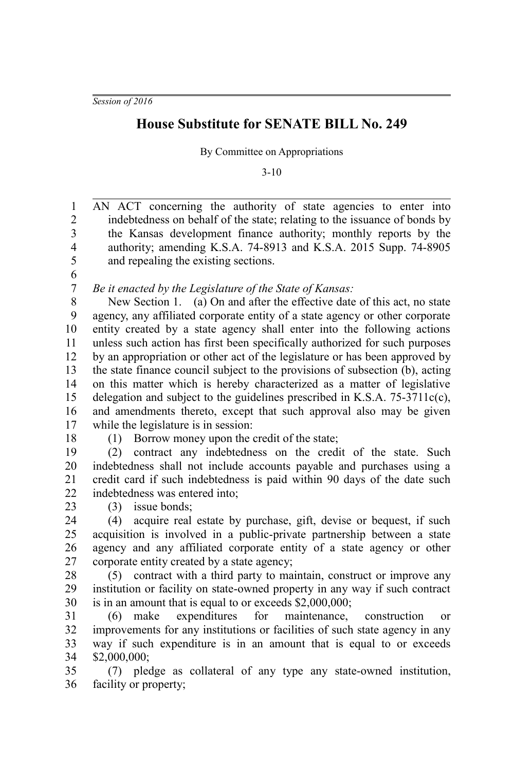*Session of 2016*

## **House Substitute for SENATE BILL No. 249**

By Committee on Appropriations

3-10

AN ACT concerning the authority of state agencies to enter into indebtedness on behalf of the state; relating to the issuance of bonds by the Kansas development finance authority; monthly reports by the authority; amending K.S.A. 74-8913 and K.S.A. 2015 Supp. 74-8905 and repealing the existing sections. *Be it enacted by the Legislature of the State of Kansas:* New Section 1. (a) On and after the effective date of this act, no state agency, any affiliated corporate entity of a state agency or other corporate entity created by a state agency shall enter into the following actions unless such action has first been specifically authorized for such purposes by an appropriation or other act of the legislature or has been approved by the state finance council subject to the provisions of subsection (b), acting on this matter which is hereby characterized as a matter of legislative delegation and subject to the guidelines prescribed in K.S.A.  $75-3711c(c)$ , and amendments thereto, except that such approval also may be given while the legislature is in session: (1) Borrow money upon the credit of the state; (2) contract any indebtedness on the credit of the state. Such indebtedness shall not include accounts payable and purchases using a credit card if such indebtedness is paid within 90 days of the date such indebtedness was entered into; (3) issue bonds; (4) acquire real estate by purchase, gift, devise or bequest, if such acquisition is involved in a public-private partnership between a state agency and any affiliated corporate entity of a state agency or other corporate entity created by a state agency; (5) contract with a third party to maintain, construct or improve any institution or facility on state-owned property in any way if such contract is in an amount that is equal to or exceeds \$2,000,000; (6) make expenditures for maintenance, construction or improvements for any institutions or facilities of such state agency in any way if such expenditure is in an amount that is equal to or exceeds \$2,000,000; 1 2 3 4 5 6 7 8 9 10 11 12 13 14 15 16 17 18 19 20 21 22 23 24 25 26 27 28 29 30 31 32 33 34

(7) pledge as collateral of any type any state-owned institution, facility or property; 35 36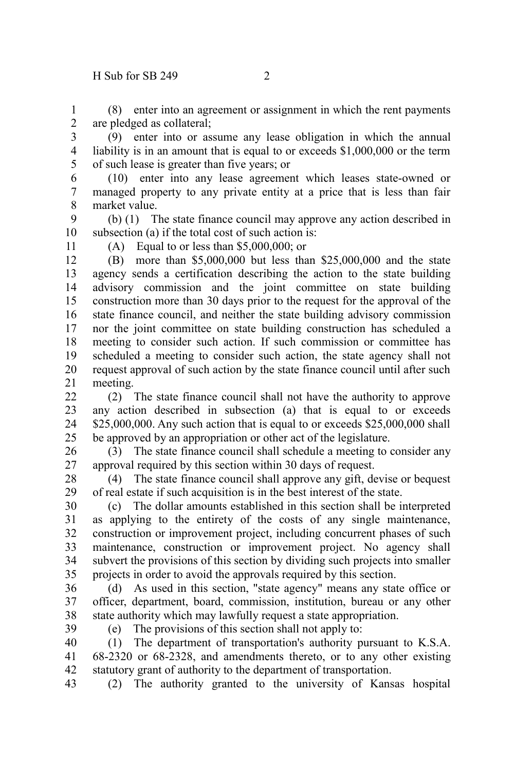(8) enter into an agreement or assignment in which the rent payments are pledged as collateral; 1 2

(9) enter into or assume any lease obligation in which the annual liability is in an amount that is equal to or exceeds \$1,000,000 or the term of such lease is greater than five years; or 3 4 5

(10) enter into any lease agreement which leases state-owned or managed property to any private entity at a price that is less than fair market value. 6 7 8

(b) (1) The state finance council may approve any action described in subsection (a) if the total cost of such action is: 9 10

11

(A) Equal to or less than \$5,000,000; or

(B) more than \$5,000,000 but less than \$25,000,000 and the state agency sends a certification describing the action to the state building advisory commission and the joint committee on state building construction more than 30 days prior to the request for the approval of the state finance council, and neither the state building advisory commission nor the joint committee on state building construction has scheduled a meeting to consider such action. If such commission or committee has scheduled a meeting to consider such action, the state agency shall not request approval of such action by the state finance council until after such meeting. 12 13 14 15 16 17 18 19 20 21

(2) The state finance council shall not have the authority to approve any action described in subsection (a) that is equal to or exceeds  $$25,000,000$ . Any such action that is equal to or exceeds  $$25,000,000$  shall be approved by an appropriation or other act of the legislature.  $22$ 23 24 25

(3) The state finance council shall schedule a meeting to consider any approval required by this section within 30 days of request. 26 27

(4) The state finance council shall approve any gift, devise or bequest of real estate if such acquisition is in the best interest of the state. 28 29

(c) The dollar amounts established in this section shall be interpreted as applying to the entirety of the costs of any single maintenance, construction or improvement project, including concurrent phases of such maintenance, construction or improvement project. No agency shall subvert the provisions of this section by dividing such projects into smaller projects in order to avoid the approvals required by this section. 30 31 32 33 34 35

(d) As used in this section, "state agency" means any state office or officer, department, board, commission, institution, bureau or any other state authority which may lawfully request a state appropriation. 36 37 38

39

(e) The provisions of this section shall not apply to:

(1) The department of transportation's authority pursuant to K.S.A. 68-2320 or 68-2328, and amendments thereto, or to any other existing statutory grant of authority to the department of transportation. 40 41 42

(2) The authority granted to the university of Kansas hospital 43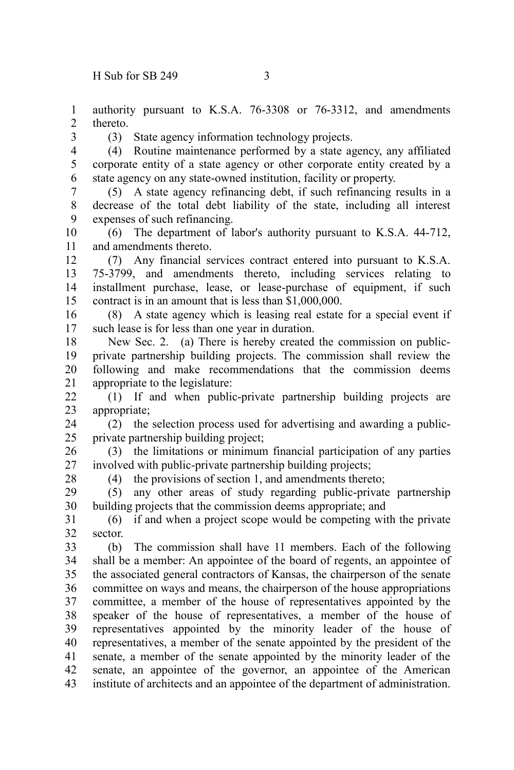authority pursuant to K.S.A. 76-3308 or 76-3312, and amendments thereto. 1 2

3

(3) State agency information technology projects.

(4) Routine maintenance performed by a state agency, any affiliated corporate entity of a state agency or other corporate entity created by a state agency on any state-owned institution, facility or property. 4 5 6

(5) A state agency refinancing debt, if such refinancing results in a decrease of the total debt liability of the state, including all interest expenses of such refinancing. 7 8 9

(6) The department of labor's authority pursuant to K.S.A. 44-712, and amendments thereto. 10 11

(7) Any financial services contract entered into pursuant to K.S.A. 75-3799, and amendments thereto, including services relating to installment purchase, lease, or lease-purchase of equipment, if such contract is in an amount that is less than \$1,000,000. 12 13 14 15

(8) A state agency which is leasing real estate for a special event if such lease is for less than one year in duration. 16 17

New Sec. 2. (a) There is hereby created the commission on publicprivate partnership building projects. The commission shall review the following and make recommendations that the commission deems appropriate to the legislature: 18 19 20 21

(1) If and when public-private partnership building projects are appropriate; 22 23

(2) the selection process used for advertising and awarding a publicprivate partnership building project; 24 25

(3) the limitations or minimum financial participation of any parties involved with public-private partnership building projects; 26 27

28

(4) the provisions of section 1, and amendments thereto;

(5) any other areas of study regarding public-private partnership building projects that the commission deems appropriate; and 29 30

(6) if and when a project scope would be competing with the private sector. 31 32

(b) The commission shall have 11 members. Each of the following shall be a member: An appointee of the board of regents, an appointee of the associated general contractors of Kansas, the chairperson of the senate committee on ways and means, the chairperson of the house appropriations committee, a member of the house of representatives appointed by the speaker of the house of representatives, a member of the house of representatives appointed by the minority leader of the house of representatives, a member of the senate appointed by the president of the senate, a member of the senate appointed by the minority leader of the senate, an appointee of the governor, an appointee of the American institute of architects and an appointee of the department of administration. 33 34 35 36 37 38 39 40 41 42 43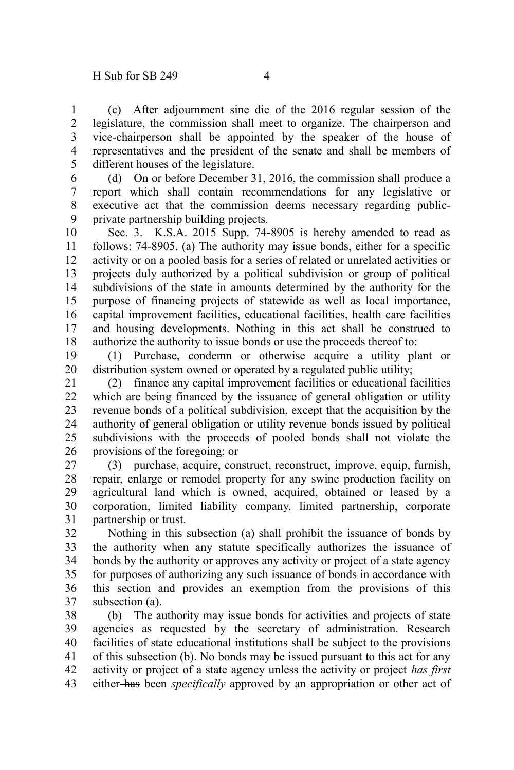(c) After adjournment sine die of the 2016 regular session of the legislature, the commission shall meet to organize. The chairperson and vice-chairperson shall be appointed by the speaker of the house of representatives and the president of the senate and shall be members of different houses of the legislature. 1 2 3 4 5

(d) On or before December 31, 2016, the commission shall produce a report which shall contain recommendations for any legislative or executive act that the commission deems necessary regarding publicprivate partnership building projects. 6 7 8 9

Sec. 3. K.S.A. 2015 Supp. 74-8905 is hereby amended to read as follows: 74-8905. (a) The authority may issue bonds, either for a specific activity or on a pooled basis for a series of related or unrelated activities or projects duly authorized by a political subdivision or group of political subdivisions of the state in amounts determined by the authority for the purpose of financing projects of statewide as well as local importance, capital improvement facilities, educational facilities, health care facilities and housing developments. Nothing in this act shall be construed to authorize the authority to issue bonds or use the proceeds thereof to: 10 11 12 13 14 15 16 17 18

(1) Purchase, condemn or otherwise acquire a utility plant or distribution system owned or operated by a regulated public utility; 19 20

(2) finance any capital improvement facilities or educational facilities which are being financed by the issuance of general obligation or utility revenue bonds of a political subdivision, except that the acquisition by the authority of general obligation or utility revenue bonds issued by political subdivisions with the proceeds of pooled bonds shall not violate the provisions of the foregoing; or 21 22 23 24 25 26

(3) purchase, acquire, construct, reconstruct, improve, equip, furnish, repair, enlarge or remodel property for any swine production facility on agricultural land which is owned, acquired, obtained or leased by a corporation, limited liability company, limited partnership, corporate partnership or trust. 27 28 29 30 31

Nothing in this subsection (a) shall prohibit the issuance of bonds by the authority when any statute specifically authorizes the issuance of bonds by the authority or approves any activity or project of a state agency for purposes of authorizing any such issuance of bonds in accordance with this section and provides an exemption from the provisions of this subsection (a). 32 33 34 35 36 37

(b) The authority may issue bonds for activities and projects of state agencies as requested by the secretary of administration. Research facilities of state educational institutions shall be subject to the provisions of this subsection (b). No bonds may be issued pursuant to this act for any activity or project of a state agency unless the activity or project *has first* either has been *specifically* approved by an appropriation or other act of 38 39 40 41 42 43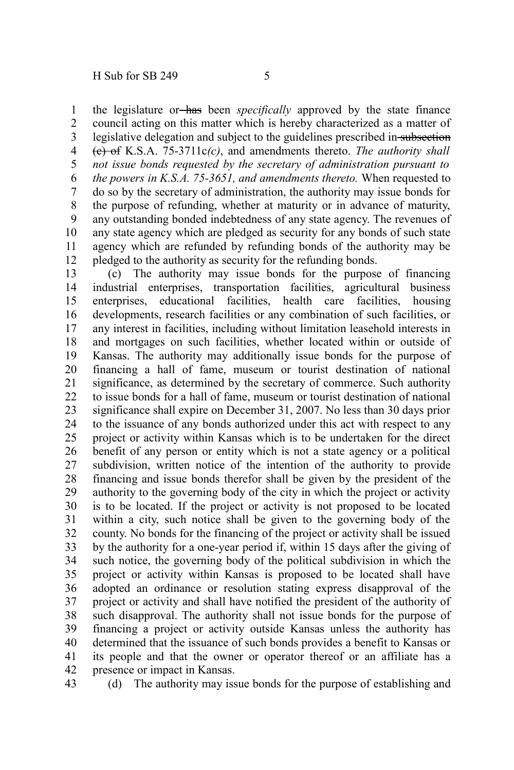the legislature or has been *specifically* approved by the state finance council acting on this matter which is hereby characterized as a matter of legislative delegation and subject to the guidelines prescribed in subsection (c) of K.S.A. 75-3711c*(c)*, and amendments thereto. *The authority shall not issue bonds requested by the secretary of administration pursuant to the powers in K.S.A. 75-3651, and amendments thereto.* When requested to do so by the secretary of administration, the authority may issue bonds for the purpose of refunding, whether at maturity or in advance of maturity, any outstanding bonded indebtedness of any state agency. The revenues of

any state agency which are pledged as security for any bonds of such state agency which are refunded by refunding bonds of the authority may be pledged to the authority as security for the refunding bonds. 9 10 11 12

(c) The authority may issue bonds for the purpose of financing industrial enterprises, transportation facilities, agricultural business enterprises, educational facilities, health care facilities, housing developments, research facilities or any combination of such facilities, or any interest in facilities, including without limitation leasehold interests in and mortgages on such facilities, whether located within or outside of Kansas. The authority may additionally issue bonds for the purpose of financing a hall of fame, museum or tourist destination of national significance, as determined by the secretary of commerce. Such authority to issue bonds for a hall of fame, museum or tourist destination of national significance shall expire on December 31, 2007. No less than 30 days prior to the issuance of any bonds authorized under this act with respect to any project or activity within Kansas which is to be undertaken for the direct benefit of any person or entity which is not a state agency or a political subdivision, written notice of the intention of the authority to provide financing and issue bonds therefor shall be given by the president of the authority to the governing body of the city in which the project or activity is to be located. If the project or activity is not proposed to be located within a city, such notice shall be given to the governing body of the county. No bonds for the financing of the project or activity shall be issued by the authority for a one-year period if, within 15 days after the giving of such notice, the governing body of the political subdivision in which the project or activity within Kansas is proposed to be located shall have adopted an ordinance or resolution stating express disapproval of the project or activity and shall have notified the president of the authority of such disapproval. The authority shall not issue bonds for the purpose of financing a project or activity outside Kansas unless the authority has determined that the issuance of such bonds provides a benefit to Kansas or its people and that the owner or operator thereof or an affiliate has a presence or impact in Kansas. 13 14 15 16 17 18 19 20 21 22 23 24 25 26 27 28 29 30 31 32 33 34 35 36 37 38 39 40 41 42

43

(d) The authority may issue bonds for the purpose of establishing and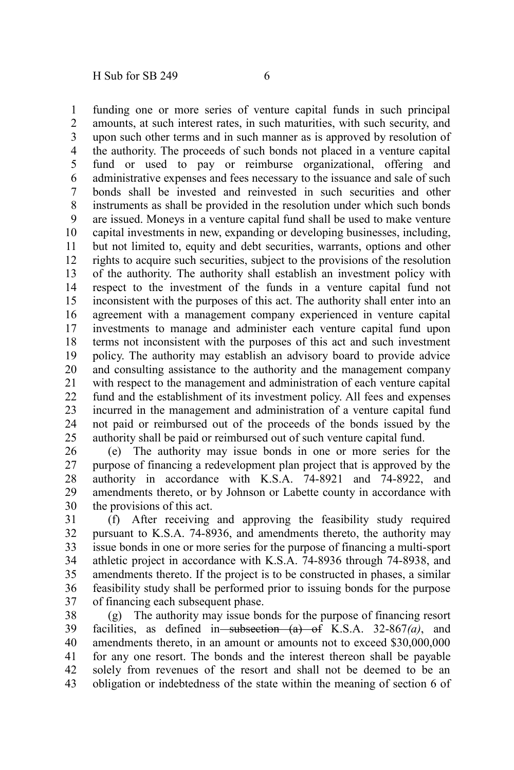funding one or more series of venture capital funds in such principal amounts, at such interest rates, in such maturities, with such security, and upon such other terms and in such manner as is approved by resolution of the authority. The proceeds of such bonds not placed in a venture capital fund or used to pay or reimburse organizational, offering and administrative expenses and fees necessary to the issuance and sale of such bonds shall be invested and reinvested in such securities and other instruments as shall be provided in the resolution under which such bonds are issued. Moneys in a venture capital fund shall be used to make venture capital investments in new, expanding or developing businesses, including, but not limited to, equity and debt securities, warrants, options and other rights to acquire such securities, subject to the provisions of the resolution of the authority. The authority shall establish an investment policy with respect to the investment of the funds in a venture capital fund not inconsistent with the purposes of this act. The authority shall enter into an agreement with a management company experienced in venture capital investments to manage and administer each venture capital fund upon terms not inconsistent with the purposes of this act and such investment policy. The authority may establish an advisory board to provide advice and consulting assistance to the authority and the management company with respect to the management and administration of each venture capital fund and the establishment of its investment policy. All fees and expenses incurred in the management and administration of a venture capital fund not paid or reimbursed out of the proceeds of the bonds issued by the authority shall be paid or reimbursed out of such venture capital fund. 1 2 3 4 5 6 7 8 9 10 11 12 13 14 15 16 17 18 19 20 21 22 23 24 25

(e) The authority may issue bonds in one or more series for the purpose of financing a redevelopment plan project that is approved by the authority in accordance with K.S.A. 74-8921 and 74-8922, and amendments thereto, or by Johnson or Labette county in accordance with the provisions of this act. 26 27 28 29 30

(f) After receiving and approving the feasibility study required pursuant to K.S.A. 74-8936, and amendments thereto, the authority may issue bonds in one or more series for the purpose of financing a multi-sport athletic project in accordance with K.S.A. 74-8936 through 74-8938, and amendments thereto. If the project is to be constructed in phases, a similar feasibility study shall be performed prior to issuing bonds for the purpose of financing each subsequent phase. 31 32 33 34 35 36 37

(g) The authority may issue bonds for the purpose of financing resort facilities, as defined in subsection  $(a)$  of K.S.A. 32-867 $(a)$ , and amendments thereto, in an amount or amounts not to exceed \$30,000,000 for any one resort. The bonds and the interest thereon shall be payable solely from revenues of the resort and shall not be deemed to be an obligation or indebtedness of the state within the meaning of section 6 of 38 39 40 41 42 43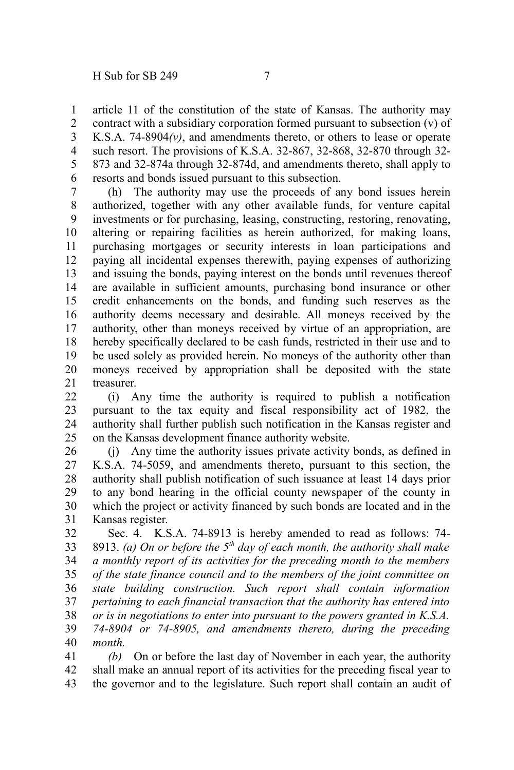article 11 of the constitution of the state of Kansas. The authority may contract with a subsidiary corporation formed pursuant to subsection  $(v)$  of K.S.A. 74-8904*(v)*, and amendments thereto, or others to lease or operate such resort. The provisions of K.S.A. 32-867, 32-868, 32-870 through 32- 873 and 32-874a through 32-874d, and amendments thereto, shall apply to resorts and bonds issued pursuant to this subsection. 1 2 3 4 5 6

(h) The authority may use the proceeds of any bond issues herein authorized, together with any other available funds, for venture capital investments or for purchasing, leasing, constructing, restoring, renovating, altering or repairing facilities as herein authorized, for making loans, purchasing mortgages or security interests in loan participations and paying all incidental expenses therewith, paying expenses of authorizing and issuing the bonds, paying interest on the bonds until revenues thereof are available in sufficient amounts, purchasing bond insurance or other credit enhancements on the bonds, and funding such reserves as the authority deems necessary and desirable. All moneys received by the authority, other than moneys received by virtue of an appropriation, are hereby specifically declared to be cash funds, restricted in their use and to be used solely as provided herein. No moneys of the authority other than moneys received by appropriation shall be deposited with the state treasurer. 7 8 9 10 11 12 13 14 15 16 17 18 19 20 21

(i) Any time the authority is required to publish a notification pursuant to the tax equity and fiscal responsibility act of 1982, the authority shall further publish such notification in the Kansas register and on the Kansas development finance authority website. 22 23 24 25

(j) Any time the authority issues private activity bonds, as defined in K.S.A. 74-5059, and amendments thereto, pursuant to this section, the authority shall publish notification of such issuance at least 14 days prior to any bond hearing in the official county newspaper of the county in which the project or activity financed by such bonds are located and in the Kansas register. 26 27 28 29 30 31

Sec. 4. K.S.A. 74-8913 is hereby amended to read as follows: 74- 8913. *(a) On or before the 5th day of each month, the authority shall make a monthly report of its activities for the preceding month to the members of the state finance council and to the members of the joint committee on state building construction. Such report shall contain information pertaining to each financial transaction that the authority has entered into or is in negotiations to enter into pursuant to the powers granted in K.S.A. 74-8904 or 74-8905, and amendments thereto, during the preceding month.*  32 33 34 35 36 37 38 39 40

*(b)* On or before the last day of November in each year, the authority shall make an annual report of its activities for the preceding fiscal year to the governor and to the legislature. Such report shall contain an audit of 41 42 43